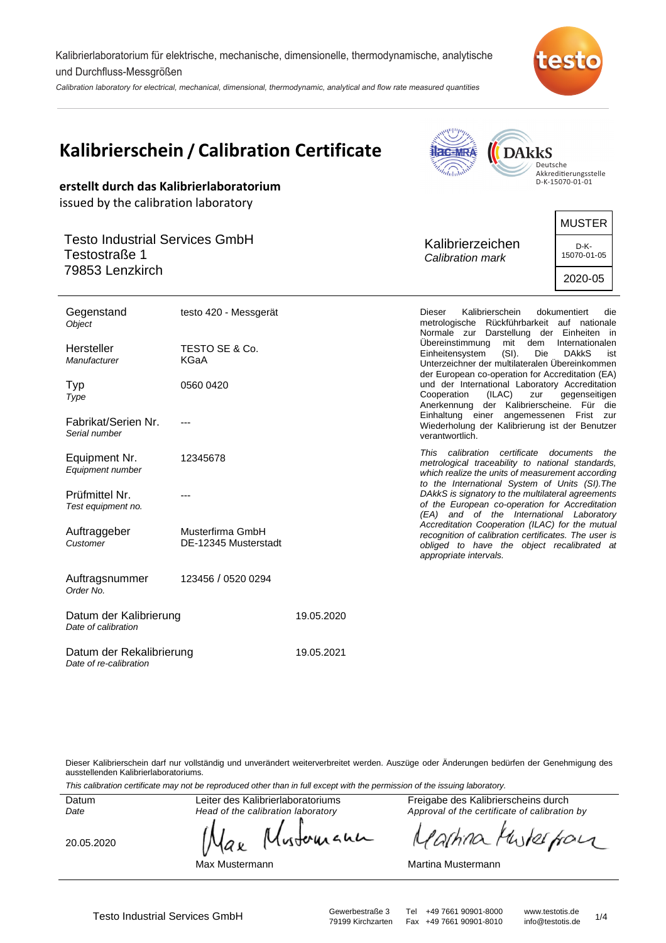Kalibrierlaboratorium für elektrische, mechanische, dimensionelle, thermodynamische, analytische und Durchfluss-Messgrößen

Calibration laboratory for electrical, mechanical, dimensional, thermodynamic, analytical and flow rate measured quantities



**AMPPILL** 

|                                                                                                                   | <b>Kalibrierschein / Calibration Certificate</b><br>erstellt durch das Kalibrierlaboratorium | <b>Jac-MRA</b><br><b>DARKS</b><br>Deutsche<br><i>delability</i><br>Akkreditierungsstelle<br>D-K-15070-01-01 |                                                                                                                                                                                                                            |                                                 |  |
|-------------------------------------------------------------------------------------------------------------------|----------------------------------------------------------------------------------------------|-------------------------------------------------------------------------------------------------------------|----------------------------------------------------------------------------------------------------------------------------------------------------------------------------------------------------------------------------|-------------------------------------------------|--|
| issued by the calibration laboratory<br><b>Testo Industrial Services GmbH</b><br>Testostraße 1<br>79853 Lenzkirch |                                                                                              |                                                                                                             | Kalibrierzeichen<br>Calibration mark                                                                                                                                                                                       | <b>MUSTER</b><br>D-K-<br>15070-01-05<br>2020-05 |  |
| Gegenstand<br>Object                                                                                              | testo 420 - Messgerät                                                                        |                                                                                                             | Kalibrierschein<br><b>Dieser</b><br>metrologische Rückführbarkeit auf nationale<br>Normale zur Darstellung der Einheiten in<br>Ubereinstimmung<br>mit dem                                                                  | dokumentiert<br>die<br>Internationalen          |  |
| Hersteller<br>Manufacturer                                                                                        | TESTO SE & Co.<br><b>KGaA</b>                                                                |                                                                                                             | Einheitensystem<br>$(SI)$ .<br>Die<br>Unterzeichner der multilateralen Übereinkommen                                                                                                                                       | <b>DAKKS</b><br>ist                             |  |
| Typ<br>Type                                                                                                       | 0560 0420                                                                                    |                                                                                                             | der European co-operation for Accreditation (EA)<br>und der International Laboratory Accreditation<br>Cooperation<br>(ILAC)<br>zur<br>Anerkennung der Kalibrierscheine. Für die<br>Einhaltung einer angemessenen Frist zur | gegenseitigen                                   |  |
| Fabrikat/Serien Nr.<br>Serial number                                                                              |                                                                                              |                                                                                                             | Wiederholung der Kalibrierung ist der Benutzer<br>verantwortlich.                                                                                                                                                          |                                                 |  |
| Equipment Nr.<br>Equipment number                                                                                 | 12345678                                                                                     |                                                                                                             | This calibration certificate documents the<br>metrological traceability to national standards,<br>which realize the units of measurement according<br>to the International System of Units (SI). The                       |                                                 |  |
| Prüfmittel Nr.<br>Test equipment no.                                                                              |                                                                                              |                                                                                                             | DAkkS is signatory to the multilateral agreements<br>of the European co-operation for Accreditation<br>(EA) and of the International Laboratory<br>Accreditation Cooperation (ILAC) for the mutual                         |                                                 |  |
| Auftraggeber<br>Customer                                                                                          | Musterfirma GmbH<br>DE-12345 Musterstadt                                                     |                                                                                                             | recognition of calibration certificates. The user is<br>obliged to have the object recalibrated at<br>appropriate intervals.                                                                                               |                                                 |  |
| Auftragsnummer<br>Order No.                                                                                       | 123456 / 0520 0294                                                                           |                                                                                                             |                                                                                                                                                                                                                            |                                                 |  |
| Datum der Kalibrierung<br>Date of calibration                                                                     |                                                                                              | 19.05.2020                                                                                                  |                                                                                                                                                                                                                            |                                                 |  |
| Datum der Rekalibrierung                                                                                          |                                                                                              | 19.05.2021                                                                                                  |                                                                                                                                                                                                                            |                                                 |  |

Dieser Kalibrierschein darf nur vollständig und unverändert weiterverbreitet werden. Auszüge oder Änderungen bedürfen der Genehmigung des ausstellenden Kalibrierlaboratoriums.

This calibration certificate may not be reproduced other than in full except with the permission of the issuing laboratory.

Datum Date

Leiter des Kalibrierlaboratoriums Head of the calibration laboratory

20.05.2020

Date of re-calibration

wherean аx

Max Mustermann

Freigabe des Kalibrierscheins durch Approval of the certificate of calibration by

unterfrom *ashino* 

Martina Mustermann

Testo Industrial Services GmbH<br>79199 Kirchzarten Fax +49 7661 90901-8010 info@testotis.de 1/4 Fax +49 7661 90901-8010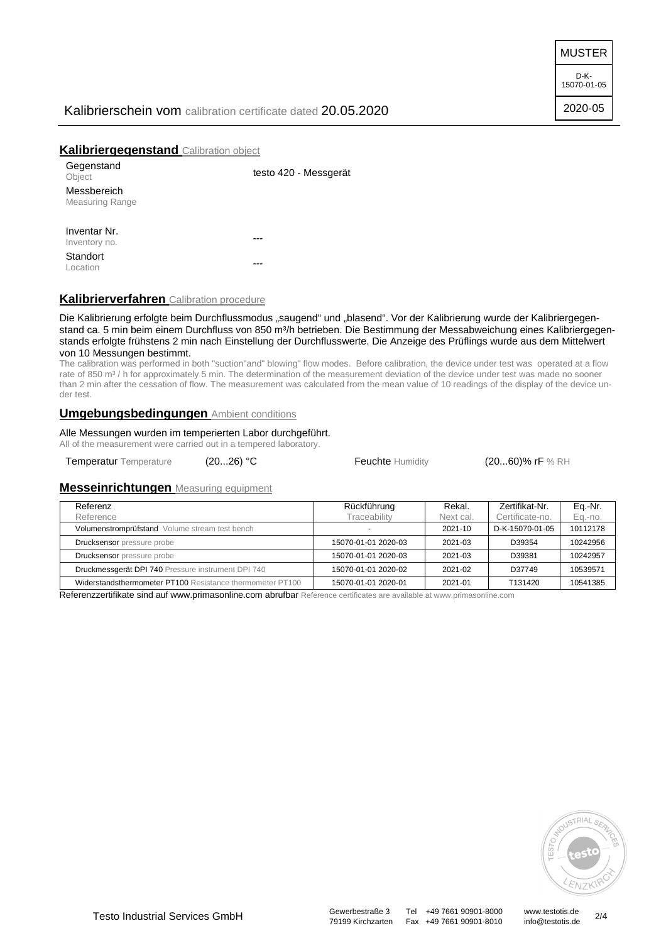MUSTER

D-K-15070-01-05

2020-05

# Kalibrierschein vom calibration certificate dated 20.05.2020

# **Kalibriergegenstand** Calibration object

| Gegenstand<br>Object   | testo 420 - Messgerät |
|------------------------|-----------------------|
| Messbereich            |                       |
| <b>Measuring Range</b> |                       |
|                        |                       |
| Inventar Nr.           |                       |
| Inventory no.          |                       |
| Standort               |                       |
| Location               |                       |

# **Kalibrierverfahren** Calibration procedure

Die Kalibrierung erfolgte beim Durchflussmodus "saugend" und "blasend". Vor der Kalibrierung wurde der Kalibriergegenstand ca. 5 min beim einem Durchfluss von 850 m<sup>3</sup>/h betrieben. Die Bestimmung der Messabweichung eines Kalibriergegenstands erfolgte frühstens 2 min nach Einstellung der Durchflusswerte. Die Anzeige des Prüflings wurde aus dem Mittelwert von 10 Messungen bestimmt.

The calibration was performed in both "suction"and" blowing" flow modes. Before calibration, the device under test was operated at a flow rate of 850 m<sup>3</sup> / h for approximately 5 min. The determination of the measurement deviation of the device under test was made no sooner than 2 min after the cessation of flow. The measurement was calculated from the mean value of 10 readings of the display of the device under test.

#### **Umgebungsbedingungen** Ambient conditions

Alle Messungen wurden im temperierten Labor durchgeführt. All of the measurement were carried out in a tempered laboratory.

Temperatur Temperature (20...26) °C Feuchte Humidity (20...60)% rF % RH

## **Messeinrichtungen** Measuring equipment

| Referenz<br>Reference                                     | Rückführung<br>Traceability | Rekal.<br>Next cal. | Zertifikat-Nr.<br>Certificate-no. | Eq.-Nr.<br>Eq.-no. |
|-----------------------------------------------------------|-----------------------------|---------------------|-----------------------------------|--------------------|
| Volumenstromprüfstand Volume stream test bench            | $\overline{\phantom{0}}$    | $2021 - 10$         | D-K-15070-01-05                   | 10112178           |
| <b>Drucksensor</b> pressure probe                         | 15070-01-01 2020-03         | 2021-03             | D39354                            | 10242956           |
| Drucksensor pressure probe                                | 15070-01-01 2020-03         | 2021-03             | D39381                            | 10242957           |
| Druckmessgerät DPI 740 Pressure instrument DPI 740        | 15070-01-01 2020-02         | 2021-02             | D37749                            | 10539571           |
| Widerstandsthermometer PT100 Resistance thermometer PT100 | 15070-01-01 2020-01         | 2021-01             | T131420                           | 10541385           |

Referenzzertifikate sind auf www.primasonline.com abrufbar Reference certificates are available at www.primasonline.com



79199 Kirchzarten Fax +49 7661 90901-8010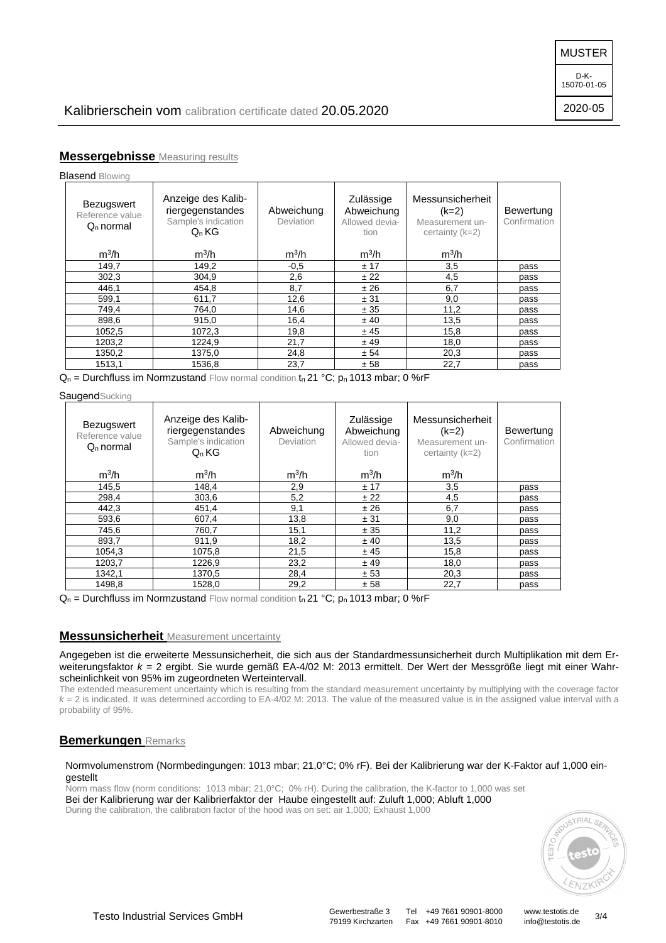2020-05

# **Messergebnisse** Measuring results

**Blasend Blowing** 

| Bezugswert<br>Reference value<br>$Qn$ normal | Anzeige des Kalib-<br>riergegenstandes<br>Sample's indication<br>$Q_n$ KG | Abweichung<br>Deviation | Zulässige<br>Abweichung<br>Allowed devia-<br>tion | Messunsicherheit<br>$(k=2)$<br>Measurement un-<br>certainty $(k=2)$ | Bewertung<br>Confirmation |
|----------------------------------------------|---------------------------------------------------------------------------|-------------------------|---------------------------------------------------|---------------------------------------------------------------------|---------------------------|
| $m^3/h$                                      | $m^3/h$                                                                   | $m^3/h$                 | $m^3/h$                                           | $m^3/h$                                                             |                           |
| 149,7                                        | 149,2                                                                     | $-0,5$                  | ± 17                                              | 3,5                                                                 | pass                      |
| 302,3                                        | 304.9                                                                     | 2,6                     | ± 22                                              | 4,5                                                                 | pass                      |
| 446,1                                        | 454,8                                                                     | 8,7                     | ± 26                                              | 6,7                                                                 | pass                      |
| 599,1                                        | 611,7                                                                     | 12,6                    | ± 31                                              | 9,0                                                                 | pass                      |
| 749,4                                        | 764,0                                                                     | 14,6                    | ± 35                                              | 11,2                                                                | pass                      |
| 898,6                                        | 915,0                                                                     | 16,4                    | ± 40                                              | 13,5                                                                | pass                      |
| 1052,5                                       | 1072,3                                                                    | 19,8                    | ± 45                                              | 15,8                                                                | pass                      |
| 1203,2                                       | 1224,9                                                                    | 21,7                    | ±49                                               | 18,0                                                                | pass                      |
| 1350,2                                       | 1375,0                                                                    | 24,8                    | ± 54                                              | 20,3                                                                | pass                      |
| 1513,1                                       | 1536.8                                                                    | 23,7                    | ± 58                                              | 22,7                                                                | pass                      |

 $Q_n$  = Durchfluss im Normzustand Flow normal condition to 21 °C; po 1013 mbar; 0 %rF

**Saugend**Sucking

| <b>Bezugswert</b>              | Anzeige des Kalib-<br>riergegenstandes | Abweichung | Zulässige<br>Abweichung | Messunsicherheit<br>$(k=2)$          | Bewertung    |
|--------------------------------|----------------------------------------|------------|-------------------------|--------------------------------------|--------------|
| Reference value<br>$Qn$ normal | Sample's indication<br>$Q_n$ KG        | Deviation  | Allowed devia-<br>tion  | Measurement un-<br>certainty $(k=2)$ | Confirmation |
| $m^3/h$                        | $m^3/h$                                | $m^3/h$    | $m^3/h$                 | $m^3/h$                              |              |
| 145,5                          | 148.4                                  | 2,9        | ± 17                    | 3,5                                  | pass         |
| 298,4                          | 303,6                                  | 5,2        | ± 22                    | 4,5                                  | pass         |
| 442,3                          | 451,4                                  | 9,1        | ±26                     | 6,7                                  | pass         |
| 593,6                          | 607,4                                  | 13,8       | ± 31                    | 9,0                                  | pass         |
| 745,6                          | 760,7                                  | 15,1       | ± 35                    | 11,2                                 | pass         |
| 893,7                          | 911,9                                  | 18,2       | ± 40                    | 13,5                                 | pass         |
| 1054,3                         | 1075,8                                 | 21,5       | ± 45                    | 15,8                                 | pass         |
| 1203,7                         | 1226,9                                 | 23,2       | ±49                     | 18,0                                 | pass         |
| 1342,1                         | 1370,5                                 | 28,4       | ± 53                    | 20,3                                 | pass         |
| 1498,8                         | 1528,0                                 | 29,2       | ± 58                    | 22,7                                 | pass         |

 $Q_n$  = Durchfluss im Normzustand Flow normal condition  $t_n$  21 °C;  $p_n$  1013 mbar; 0 %rF

## **Messunsicherheit** Measurement uncertainty

Angegeben ist die erweiterte Messunsicherheit, die sich aus der Standardmessunsicherheit durch Multiplikation mit dem Erweiterungsfaktor  $k = 2$  ergibt. Sie wurde gemäß EA-4/02 M: 2013 ermittelt. Der Wert der Messgröße liegt mit einer Wahrscheinlichkeit von 95% im zugeordneten Werteintervall.

The extended measurement uncertainty which is resulting from the standard measurement uncertainty by multiplying with the coverage factor  $k = 2$  is indicated. It was determined according to EA-4/02 M: 2013. The value of the measured value is in the assigned value interval with a probability of 95%.

### **Bemerkungen** Remarks

#### Normvolumenstrom (Normbedingungen: 1013 mbar; 21,0°C; 0% rF). Bei der Kalibrierung war der K-Faktor auf 1,000 eingestellt

Norm mass flow (norm conditions: 1013 mbar; 21,0°C; 0% rH). During the calibration, the K-factor to 1,000 was set Bei der Kalibrierung war der Kalibrierfaktor der Haube eingestellt auf: Zuluft 1,000; Abluft 1,000 During the calibration, the calibration factor of the hood was on set: air 1,000; Exhaust 1,000



79199 Kirchzarten Fax +49 7661 90901-8010